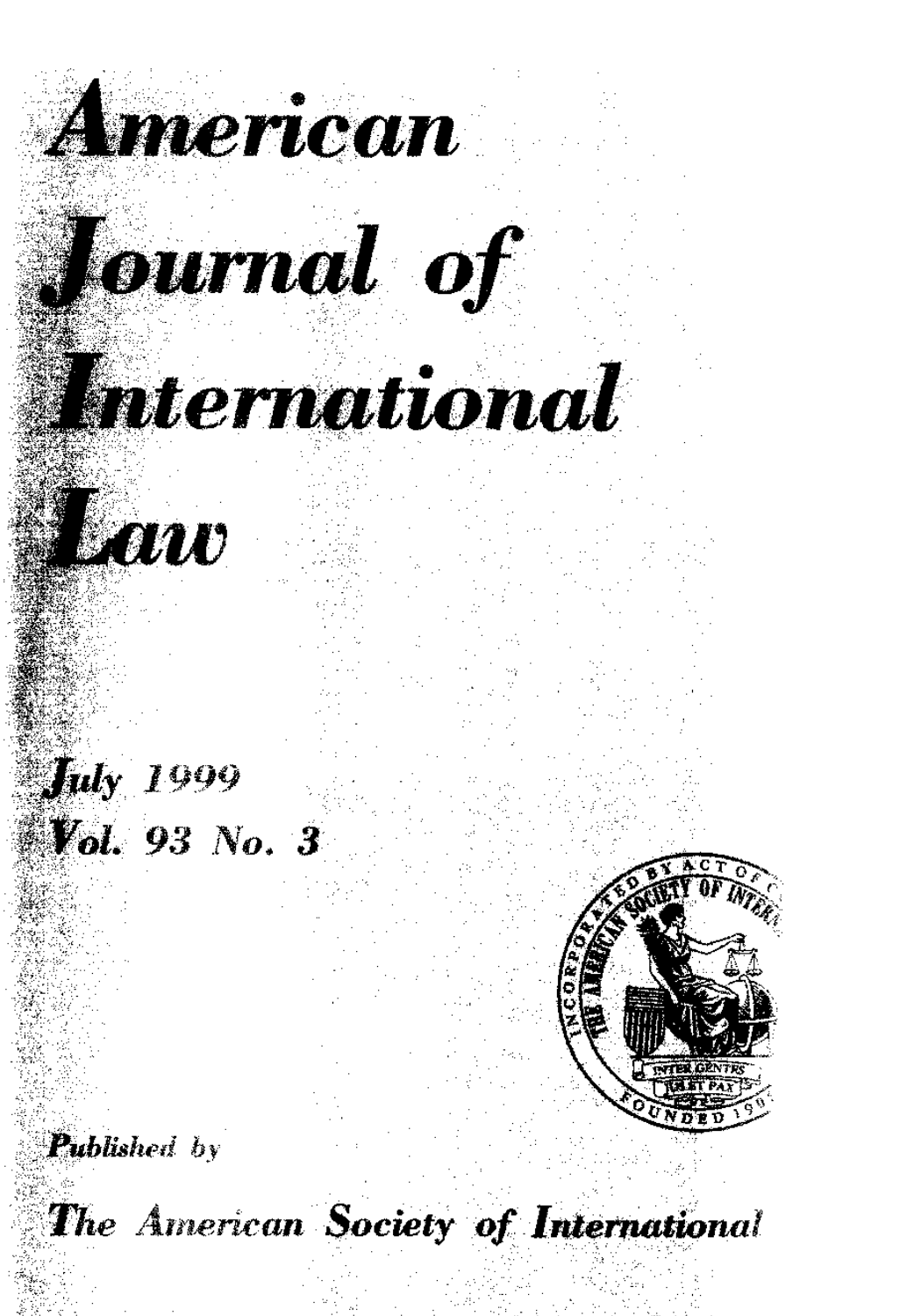

**American** 

## International



 $\int u(y)$   $1999$ **Vol. 93 No. 3** 



Published by

The American Society of International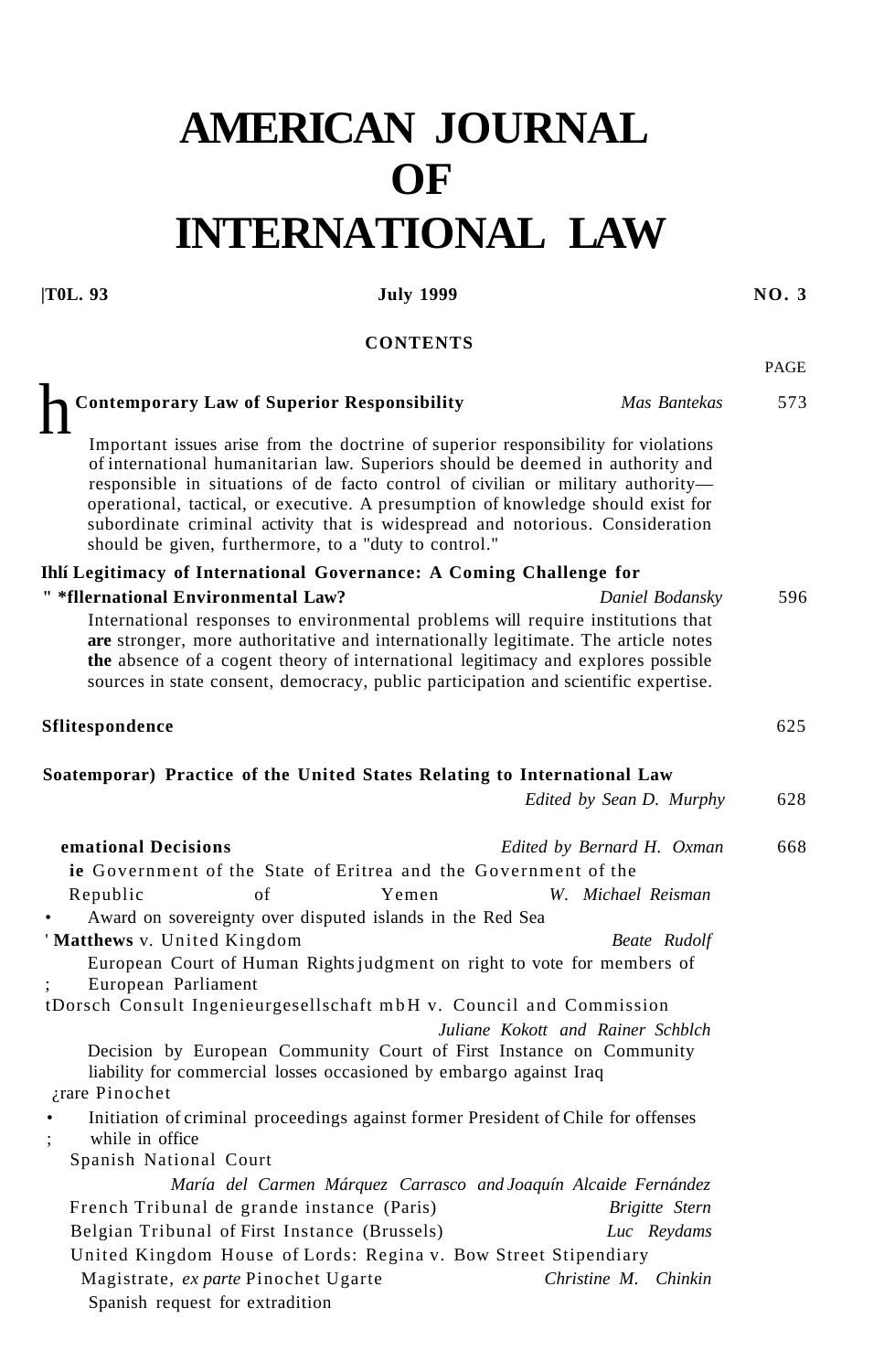## **AMERICAN JOURNAL OF INTERNATIONAL LAW**

## **|T0L. 93 July 1999 NO. 3**

**CONTENTS** 

PAGE

| <b>Contemporary Law of Superior Responsibility</b>                                                                                                                                                                                                                                                                                                                                                                                                                                     | Mas Bantekas                      | 573 |
|----------------------------------------------------------------------------------------------------------------------------------------------------------------------------------------------------------------------------------------------------------------------------------------------------------------------------------------------------------------------------------------------------------------------------------------------------------------------------------------|-----------------------------------|-----|
| Important issues arise from the doctrine of superior responsibility for violations<br>of international humanitarian law. Superiors should be deemed in authority and<br>responsible in situations of de facto control of civilian or military authority-<br>operational, tactical, or executive. A presumption of knowledge should exist for<br>subordinate criminal activity that is widespread and notorious. Consideration<br>should be given, furthermore, to a "duty to control." |                                   |     |
| Ihlí Legitimacy of International Governance: A Coming Challenge for                                                                                                                                                                                                                                                                                                                                                                                                                    |                                   |     |
| " *fllernational Environmental Law?                                                                                                                                                                                                                                                                                                                                                                                                                                                    | Daniel Bodansky                   | 596 |
| International responses to environmental problems will require institutions that<br>are stronger, more authoritative and internationally legitimate. The article notes<br>the absence of a cogent theory of international legitimacy and explores possible<br>sources in state consent, democracy, public participation and scientific expertise.                                                                                                                                      |                                   |     |
| <b>Sflitespondence</b>                                                                                                                                                                                                                                                                                                                                                                                                                                                                 |                                   | 625 |
| Soatemporar) Practice of the United States Relating to International Law                                                                                                                                                                                                                                                                                                                                                                                                               |                                   |     |
|                                                                                                                                                                                                                                                                                                                                                                                                                                                                                        | Edited by Sean D. Murphy          | 628 |
| emational Decisions                                                                                                                                                                                                                                                                                                                                                                                                                                                                    | Edited by Bernard H. Oxman        | 668 |
| <b>ie</b> Government of the State of Eritrea and the Government of the                                                                                                                                                                                                                                                                                                                                                                                                                 |                                   |     |
| Republic<br>of<br>Yemen<br>Award on sovereignty over disputed islands in the Red Sea                                                                                                                                                                                                                                                                                                                                                                                                   | W. Michael Reisman                |     |
| 'Matthews v. United Kingdom                                                                                                                                                                                                                                                                                                                                                                                                                                                            | Beate Rudolf                      |     |
| European Court of Human Rights judgment on right to vote for members of<br>European Parliament                                                                                                                                                                                                                                                                                                                                                                                         |                                   |     |
| tDorsch Consult Ingenieurgesellschaft mbH v. Council and Commission                                                                                                                                                                                                                                                                                                                                                                                                                    |                                   |     |
|                                                                                                                                                                                                                                                                                                                                                                                                                                                                                        | Juliane Kokott and Rainer Schblch |     |
| Decision by European Community Court of First Instance on Community<br>liability for commercial losses occasioned by embargo against Iraq                                                                                                                                                                                                                                                                                                                                              |                                   |     |
| ¿rare Pinochet                                                                                                                                                                                                                                                                                                                                                                                                                                                                         |                                   |     |
| Initiation of criminal proceedings against former President of Chile for offenses<br>while in office                                                                                                                                                                                                                                                                                                                                                                                   |                                   |     |
| Spanish National Court                                                                                                                                                                                                                                                                                                                                                                                                                                                                 |                                   |     |
| María del Carmen Márquez Carrasco and Joaquín Alcaide Fernández                                                                                                                                                                                                                                                                                                                                                                                                                        |                                   |     |
| French Tribunal de grande instance (Paris)                                                                                                                                                                                                                                                                                                                                                                                                                                             | Brigitte Stern                    |     |
| Belgian Tribunal of First Instance (Brussels)                                                                                                                                                                                                                                                                                                                                                                                                                                          | Luc Reydams                       |     |
| United Kingdom House of Lords: Regina v. Bow Street Stipendiary                                                                                                                                                                                                                                                                                                                                                                                                                        |                                   |     |
| Magistrate, ex parte Pinochet Ugarte<br>Spanish request for extradition                                                                                                                                                                                                                                                                                                                                                                                                                | Christine M. Chinkin              |     |